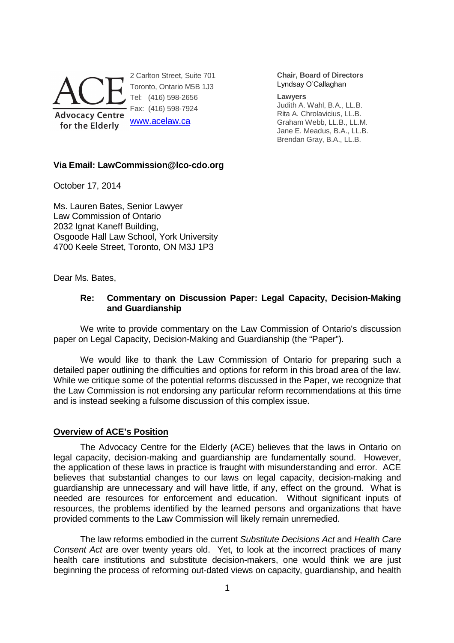

**Chair, Board of Directors** Lyndsay O'Callaghan

#### **Lawyers**

Judith A. Wahl, B.A., LL.B. Rita A. Chrolavicius, LL.B. Graham Webb, LL.B., LL.M. Jane E. Meadus, B.A., LL.B. Brendan Gray, B.A., LL.B.

#### **Via Email: LawCommission@lco-cdo.org**

October 17, 2014

Ms. Lauren Bates, Senior Lawyer Law Commission of Ontario 2032 Ignat Kaneff Building, Osgoode Hall Law School, York University 4700 Keele Street, Toronto, ON M3J 1P3

Dear Ms. Bates,

# **Re: Commentary on Discussion Paper: Legal Capacity, Decision-Making and Guardianship**

We write to provide commentary on the Law Commission of Ontario's discussion paper on Legal Capacity, Decision-Making and Guardianship (the "Paper").

We would like to thank the Law Commission of Ontario for preparing such a detailed paper outlining the difficulties and options for reform in this broad area of the law. While we critique some of the potential reforms discussed in the Paper, we recognize that the Law Commission is not endorsing any particular reform recommendations at this time and is instead seeking a fulsome discussion of this complex issue.

# **Overview of ACE's Position**

The Advocacy Centre for the Elderly (ACE) believes that the laws in Ontario on legal capacity, decision-making and guardianship are fundamentally sound. However, the application of these laws in practice is fraught with misunderstanding and error. ACE believes that substantial changes to our laws on legal capacity, decision-making and guardianship are unnecessary and will have little, if any, effect on the ground. What is needed are resources for enforcement and education. Without significant inputs of resources, the problems identified by the learned persons and organizations that have provided comments to the Law Commission will likely remain unremedied.

The law reforms embodied in the current Substitute Decisions Act and Health Care Consent Act are over twenty years old. Yet, to look at the incorrect practices of many health care institutions and substitute decision-makers, one would think we are just beginning the process of reforming out-dated views on capacity, guardianship, and health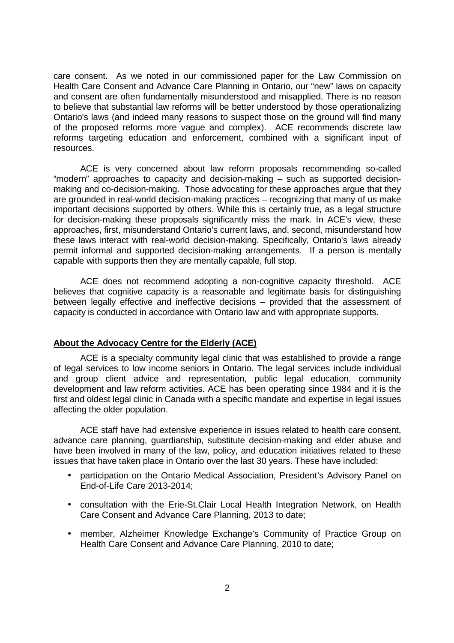care consent. As we noted in our commissioned paper for the Law Commission on Health Care Consent and Advance Care Planning in Ontario, our "new" laws on capacity and consent are often fundamentally misunderstood and misapplied. There is no reason to believe that substantial law reforms will be better understood by those operationalizing Ontario's laws (and indeed many reasons to suspect those on the ground will find many of the proposed reforms more vague and complex). ACE recommends discrete law reforms targeting education and enforcement, combined with a significant input of resources.

ACE is very concerned about law reform proposals recommending so-called "modern" approaches to capacity and decision-making – such as supported decisionmaking and co-decision-making. Those advocating for these approaches argue that they are grounded in real-world decision-making practices – recognizing that many of us make important decisions supported by others. While this is certainly true, as a legal structure for decision-making these proposals significantly miss the mark. In ACE's view, these approaches, first, misunderstand Ontario's current laws, and, second, misunderstand how these laws interact with real-world decision-making. Specifically, Ontario's laws already permit informal and supported decision-making arrangements. If a person is mentally capable with supports then they are mentally capable, full stop.

ACE does not recommend adopting a non-cognitive capacity threshold. ACE believes that cognitive capacity is a reasonable and legitimate basis for distinguishing between legally effective and ineffective decisions – provided that the assessment of capacity is conducted in accordance with Ontario law and with appropriate supports.

# **About the Advocacy Centre for the Elderly (ACE)**

ACE is a specialty community legal clinic that was established to provide a range of legal services to low income seniors in Ontario. The legal services include individual and group client advice and representation, public legal education, community development and law reform activities. ACE has been operating since 1984 and it is the first and oldest legal clinic in Canada with a specific mandate and expertise in legal issues affecting the older population.

ACE staff have had extensive experience in issues related to health care consent, advance care planning, guardianship, substitute decision-making and elder abuse and have been involved in many of the law, policy, and education initiatives related to these issues that have taken place in Ontario over the last 30 years. These have included:

- participation on the Ontario Medical Association, President's Advisory Panel on End-of-Life Care 2013-2014;
- consultation with the Erie-St.Clair Local Health Integration Network, on Health Care Consent and Advance Care Planning, 2013 to date;
- member, Alzheimer Knowledge Exchange's Community of Practice Group on Health Care Consent and Advance Care Planning, 2010 to date;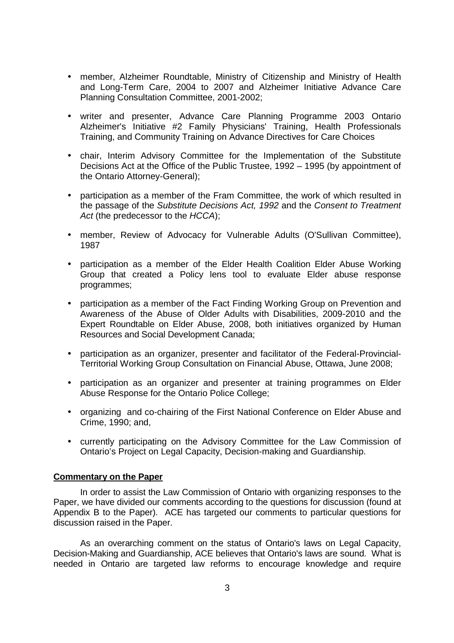- member, Alzheimer Roundtable, Ministry of Citizenship and Ministry of Health and Long-Term Care, 2004 to 2007 and Alzheimer Initiative Advance Care Planning Consultation Committee, 2001-2002;
- writer and presenter, Advance Care Planning Programme 2003 Ontario Alzheimer's Initiative #2 Family Physicians' Training, Health Professionals Training, and Community Training on Advance Directives for Care Choices
- chair, Interim Advisory Committee for the Implementation of the Substitute Decisions Act at the Office of the Public Trustee, 1992 – 1995 (by appointment of the Ontario Attorney-General);
- participation as a member of the Fram Committee, the work of which resulted in the passage of the Substitute Decisions Act, 1992 and the Consent to Treatment Act (the predecessor to the HCCA);
- member, Review of Advocacy for Vulnerable Adults (O'Sullivan Committee), 1987
- participation as a member of the Elder Health Coalition Elder Abuse Working Group that created a Policy lens tool to evaluate Elder abuse response programmes;
- participation as a member of the Fact Finding Working Group on Prevention and Awareness of the Abuse of Older Adults with Disabilities, 2009-2010 and the Expert Roundtable on Elder Abuse, 2008, both initiatives organized by Human Resources and Social Development Canada;
- participation as an organizer, presenter and facilitator of the Federal-Provincial-Territorial Working Group Consultation on Financial Abuse, Ottawa, June 2008;
- participation as an organizer and presenter at training programmes on Elder Abuse Response for the Ontario Police College;
- organizing and co-chairing of the First National Conference on Elder Abuse and Crime, 1990; and,
- currently participating on the Advisory Committee for the Law Commission of Ontario's Project on Legal Capacity, Decision-making and Guardianship.

# **Commentary on the Paper**

 In order to assist the Law Commission of Ontario with organizing responses to the Paper, we have divided our comments according to the questions for discussion (found at Appendix B to the Paper). ACE has targeted our comments to particular questions for discussion raised in the Paper.

 As an overarching comment on the status of Ontario's laws on Legal Capacity, Decision-Making and Guardianship, ACE believes that Ontario's laws are sound. What is needed in Ontario are targeted law reforms to encourage knowledge and require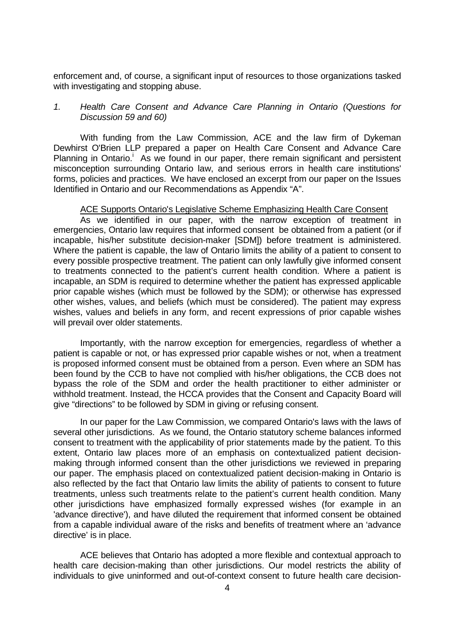enforcement and, of course, a significant input of resources to those organizations tasked with investigating and stopping abuse.

# 1. Health Care Consent and Advance Care Planning in Ontario (Questions for Discussion 59 and 60)

 With funding from the Law Commission, ACE and the law firm of Dykeman Dewhirst O'Brien LLP prepared a paper on Health Care Consent and Advance Care Planning in Ontario.<sup>1</sup> As we found in our paper, there remain significant and persistent misconception surrounding Ontario law, and serious errors in health care institutions' forms, policies and practices. We have enclosed an excerpt from our paper on the Issues Identified in Ontario and our Recommendations as Appendix "A".

#### ACE Supports Ontario's Legislative Scheme Emphasizing Health Care Consent

 As we identified in our paper, with the narrow exception of treatment in emergencies, Ontario law requires that informed consent be obtained from a patient (or if incapable, his/her substitute decision-maker [SDM]) before treatment is administered. Where the patient is capable, the law of Ontario limits the ability of a patient to consent to every possible prospective treatment. The patient can only lawfully give informed consent to treatments connected to the patient's current health condition. Where a patient is incapable, an SDM is required to determine whether the patient has expressed applicable prior capable wishes (which must be followed by the SDM); or otherwise has expressed other wishes, values, and beliefs (which must be considered). The patient may express wishes, values and beliefs in any form, and recent expressions of prior capable wishes will prevail over older statements.

 Importantly, with the narrow exception for emergencies, regardless of whether a patient is capable or not, or has expressed prior capable wishes or not, when a treatment is proposed informed consent must be obtained from a person. Even where an SDM has been found by the CCB to have not complied with his/her obligations, the CCB does not bypass the role of the SDM and order the health practitioner to either administer or withhold treatment. Instead, the HCCA provides that the Consent and Capacity Board will give "directions" to be followed by SDM in giving or refusing consent.

 In our paper for the Law Commission, we compared Ontario's laws with the laws of several other jurisdictions. As we found, the Ontario statutory scheme balances informed consent to treatment with the applicability of prior statements made by the patient. To this extent, Ontario law places more of an emphasis on contextualized patient decisionmaking through informed consent than the other jurisdictions we reviewed in preparing our paper. The emphasis placed on contextualized patient decision-making in Ontario is also reflected by the fact that Ontario law limits the ability of patients to consent to future treatments, unless such treatments relate to the patient's current health condition. Many other jurisdictions have emphasized formally expressed wishes (for example in an 'advance directive'), and have diluted the requirement that informed consent be obtained from a capable individual aware of the risks and benefits of treatment where an 'advance directive' is in place.

 ACE believes that Ontario has adopted a more flexible and contextual approach to health care decision-making than other jurisdictions. Our model restricts the ability of individuals to give uninformed and out-of-context consent to future health care decision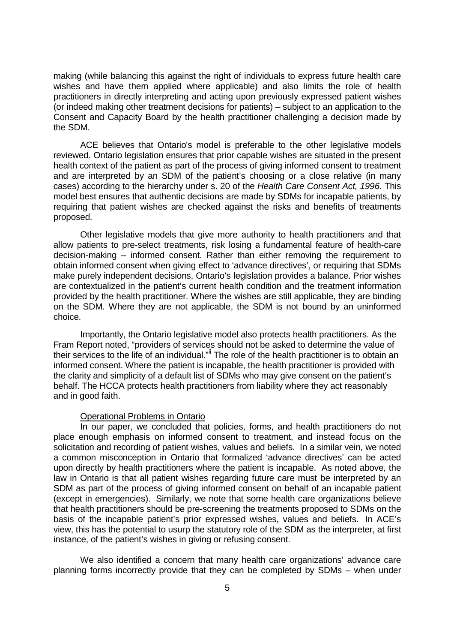making (while balancing this against the right of individuals to express future health care wishes and have them applied where applicable) and also limits the role of health practitioners in directly interpreting and acting upon previously expressed patient wishes (or indeed making other treatment decisions for patients) – subject to an application to the Consent and Capacity Board by the health practitioner challenging a decision made by the SDM.

 ACE believes that Ontario's model is preferable to the other legislative models reviewed. Ontario legislation ensures that prior capable wishes are situated in the present health context of the patient as part of the process of giving informed consent to treatment and are interpreted by an SDM of the patient's choosing or a close relative (in many cases) according to the hierarchy under s. 20 of the Health Care Consent Act, 1996. This model best ensures that authentic decisions are made by SDMs for incapable patients, by requiring that patient wishes are checked against the risks and benefits of treatments proposed.

 Other legislative models that give more authority to health practitioners and that allow patients to pre-select treatments, risk losing a fundamental feature of health-care decision-making – informed consent. Rather than either removing the requirement to obtain informed consent when giving effect to 'advance directives', or requiring that SDMs make purely independent decisions, Ontario's legislation provides a balance. Prior wishes are contextualized in the patient's current health condition and the treatment information provided by the health practitioner. Where the wishes are still applicable, they are binding on the SDM. Where they are not applicable, the SDM is not bound by an uninformed choice.

 Importantly, the Ontario legislative model also protects health practitioners. As the Fram Report noted, "providers of services should not be asked to determine the value of their services to the life of an individual."ii The role of the health practitioner is to obtain an informed consent. Where the patient is incapable, the health practitioner is provided with the clarity and simplicity of a default list of SDMs who may give consent on the patient's behalf. The HCCA protects health practitioners from liability where they act reasonably and in good faith.

#### Operational Problems in Ontario

 In our paper, we concluded that policies, forms, and health practitioners do not place enough emphasis on informed consent to treatment, and instead focus on the solicitation and recording of patient wishes, values and beliefs. In a similar vein, we noted a common misconception in Ontario that formalized 'advance directives' can be acted upon directly by health practitioners where the patient is incapable. As noted above, the law in Ontario is that all patient wishes regarding future care must be interpreted by an SDM as part of the process of giving informed consent on behalf of an incapable patient (except in emergencies). Similarly, we note that some health care organizations believe that health practitioners should be pre-screening the treatments proposed to SDMs on the basis of the incapable patient's prior expressed wishes, values and beliefs. In ACE's view, this has the potential to usurp the statutory role of the SDM as the interpreter, at first instance, of the patient's wishes in giving or refusing consent.

 We also identified a concern that many health care organizations' advance care planning forms incorrectly provide that they can be completed by SDMs – when under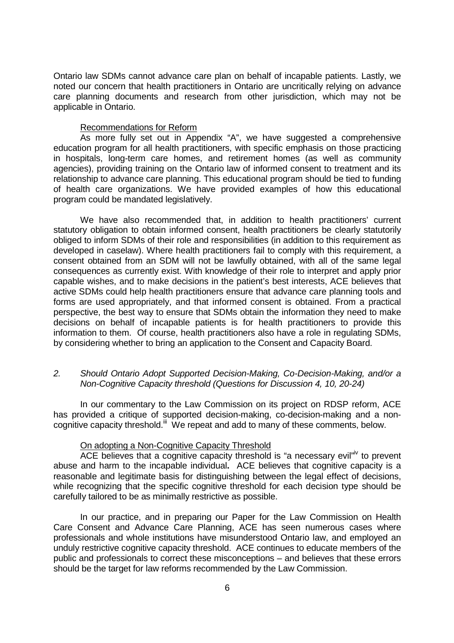Ontario law SDMs cannot advance care plan on behalf of incapable patients. Lastly, we noted our concern that health practitioners in Ontario are uncritically relying on advance care planning documents and research from other jurisdiction, which may not be applicable in Ontario.

#### Recommendations for Reform

 As more fully set out in Appendix "A", we have suggested a comprehensive education program for all health practitioners, with specific emphasis on those practicing in hospitals, long-term care homes, and retirement homes (as well as community agencies), providing training on the Ontario law of informed consent to treatment and its relationship to advance care planning. This educational program should be tied to funding of health care organizations. We have provided examples of how this educational program could be mandated legislatively.

We have also recommended that, in addition to health practitioners' current statutory obligation to obtain informed consent, health practitioners be clearly statutorily obliged to inform SDMs of their role and responsibilities (in addition to this requirement as developed in caselaw). Where health practitioners fail to comply with this requirement, a consent obtained from an SDM will not be lawfully obtained, with all of the same legal consequences as currently exist. With knowledge of their role to interpret and apply prior capable wishes, and to make decisions in the patient's best interests, ACE believes that active SDMs could help health practitioners ensure that advance care planning tools and forms are used appropriately, and that informed consent is obtained. From a practical perspective, the best way to ensure that SDMs obtain the information they need to make decisions on behalf of incapable patients is for health practitioners to provide this information to them. Of course, health practitioners also have a role in regulating SDMs, by considering whether to bring an application to the Consent and Capacity Board.

# 2. Should Ontario Adopt Supported Decision-Making, Co-Decision-Making, and/or a Non-Cognitive Capacity threshold (Questions for Discussion 4, 10, 20-24)

 In our commentary to the Law Commission on its project on RDSP reform, ACE has provided a critique of supported decision-making, co-decision-making and a noncognitive capacity threshold.<sup>iii</sup> We repeat and add to many of these comments, below.

#### On adopting a Non-Cognitive Capacity Threshold

ACE believes that a cognitive capacity threshold is "a necessary evil"<sup>iv</sup> to prevent abuse and harm to the incapable individual**.** ACE believes that cognitive capacity is a reasonable and legitimate basis for distinguishing between the legal effect of decisions, while recognizing that the specific cognitive threshold for each decision type should be carefully tailored to be as minimally restrictive as possible.

In our practice, and in preparing our Paper for the Law Commission on Health Care Consent and Advance Care Planning, ACE has seen numerous cases where professionals and whole institutions have misunderstood Ontario law, and employed an unduly restrictive cognitive capacity threshold. ACE continues to educate members of the public and professionals to correct these misconceptions – and believes that these errors should be the target for law reforms recommended by the Law Commission.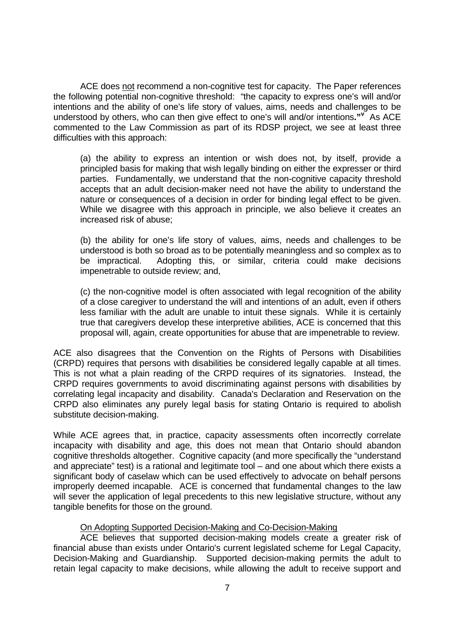ACE does not recommend a non-cognitive test for capacity. The Paper references the following potential non-cognitive threshold: "the capacity to express one's will and/or intentions and the ability of one's life story of values, aims, needs and challenges to be understood by others, who can then give effect to one's will and/or intentions**."<sup>v</sup>** As ACE commented to the Law Commission as part of its RDSP project, we see at least three difficulties with this approach:

(a) the ability to express an intention or wish does not, by itself, provide a principled basis for making that wish legally binding on either the expresser or third parties. Fundamentally, we understand that the non-cognitive capacity threshold accepts that an adult decision-maker need not have the ability to understand the nature or consequences of a decision in order for binding legal effect to be given. While we disagree with this approach in principle, we also believe it creates an increased risk of abuse;

(b) the ability for one's life story of values, aims, needs and challenges to be understood is both so broad as to be potentially meaningless and so complex as to be impractical. Adopting this, or similar, criteria could make decisions impenetrable to outside review; and,

(c) the non-cognitive model is often associated with legal recognition of the ability of a close caregiver to understand the will and intentions of an adult, even if others less familiar with the adult are unable to intuit these signals. While it is certainly true that caregivers develop these interpretive abilities, ACE is concerned that this proposal will, again, create opportunities for abuse that are impenetrable to review.

ACE also disagrees that the Convention on the Rights of Persons with Disabilities (CRPD) requires that persons with disabilities be considered legally capable at all times. This is not what a plain reading of the CRPD requires of its signatories. Instead, the CRPD requires governments to avoid discriminating against persons with disabilities by correlating legal incapacity and disability. Canada's Declaration and Reservation on the CRPD also eliminates any purely legal basis for stating Ontario is required to abolish substitute decision-making.

While ACE agrees that, in practice, capacity assessments often incorrectly correlate incapacity with disability and age, this does not mean that Ontario should abandon cognitive thresholds altogether. Cognitive capacity (and more specifically the "understand and appreciate" test) is a rational and legitimate tool – and one about which there exists a significant body of caselaw which can be used effectively to advocate on behalf persons improperly deemed incapable. ACE is concerned that fundamental changes to the law will sever the application of legal precedents to this new legislative structure, without any tangible benefits for those on the ground.

# On Adopting Supported Decision-Making and Co-Decision-Making

 ACE believes that supported decision-making models create a greater risk of financial abuse than exists under Ontario's current legislated scheme for Legal Capacity, Decision-Making and Guardianship. Supported decision-making permits the adult to retain legal capacity to make decisions, while allowing the adult to receive support and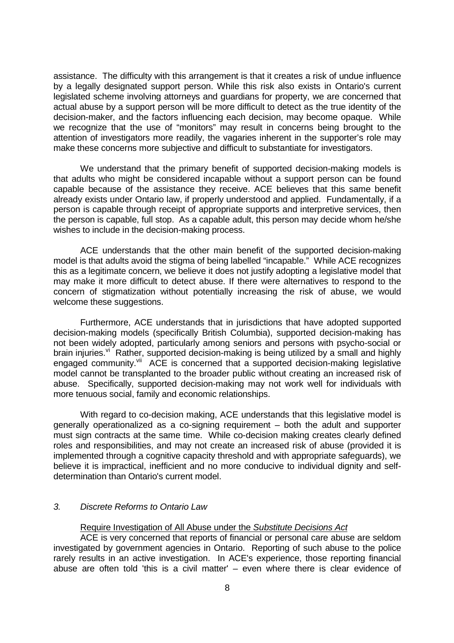assistance. The difficulty with this arrangement is that it creates a risk of undue influence by a legally designated support person. While this risk also exists in Ontario's current legislated scheme involving attorneys and guardians for property, we are concerned that actual abuse by a support person will be more difficult to detect as the true identity of the decision-maker, and the factors influencing each decision, may become opaque. While we recognize that the use of "monitors" may result in concerns being brought to the attention of investigators more readily, the vagaries inherent in the supporter's role may make these concerns more subjective and difficult to substantiate for investigators.

We understand that the primary benefit of supported decision-making models is that adults who might be considered incapable without a support person can be found capable because of the assistance they receive. ACE believes that this same benefit already exists under Ontario law, if properly understood and applied. Fundamentally, if a person is capable through receipt of appropriate supports and interpretive services, then the person is capable, full stop. As a capable adult, this person may decide whom he/she wishes to include in the decision-making process.

ACE understands that the other main benefit of the supported decision-making model is that adults avoid the stigma of being labelled "incapable." While ACE recognizes this as a legitimate concern, we believe it does not justify adopting a legislative model that may make it more difficult to detect abuse. If there were alternatives to respond to the concern of stigmatization without potentially increasing the risk of abuse, we would welcome these suggestions.

Furthermore, ACE understands that in jurisdictions that have adopted supported decision-making models (specifically British Columbia), supported decision-making has not been widely adopted, particularly among seniors and persons with psycho-social or brain injuries.<sup>vi</sup> Rather, supported decision-making is being utilized by a small and highly engaged community.<sup>vii</sup> ACE is concerned that a supported decision-making legislative model cannot be transplanted to the broader public without creating an increased risk of abuse. Specifically, supported decision-making may not work well for individuals with more tenuous social, family and economic relationships.

 With regard to co-decision making, ACE understands that this legislative model is generally operationalized as a co-signing requirement – both the adult and supporter must sign contracts at the same time. While co-decision making creates clearly defined roles and responsibilities, and may not create an increased risk of abuse (provided it is implemented through a cognitive capacity threshold and with appropriate safeguards), we believe it is impractical, inefficient and no more conducive to individual dignity and selfdetermination than Ontario's current model.

#### 3. Discrete Reforms to Ontario Law

#### Require Investigation of All Abuse under the Substitute Decisions Act

 ACE is very concerned that reports of financial or personal care abuse are seldom investigated by government agencies in Ontario. Reporting of such abuse to the police rarely results in an active investigation. In ACE's experience, those reporting financial abuse are often told 'this is a civil matter' – even where there is clear evidence of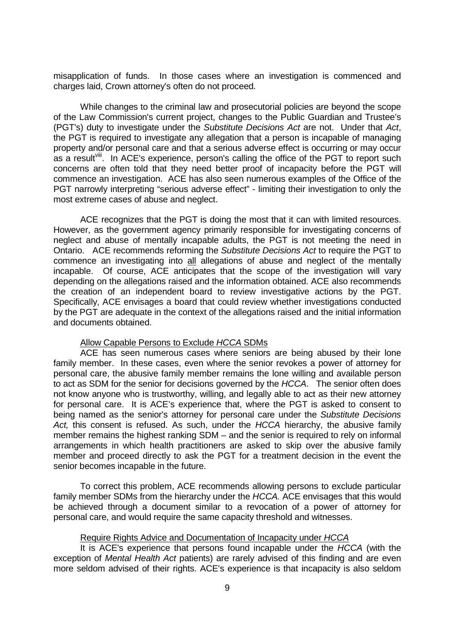misapplication of funds. In those cases where an investigation is commenced and charges laid, Crown attorney's often do not proceed.

 While changes to the criminal law and prosecutorial policies are beyond the scope of the Law Commission's current project, changes to the Public Guardian and Trustee's (PGT's) duty to investigate under the Substitute Decisions Act are not. Under that Act, the PGT is required to investigate any allegation that a person is incapable of managing property and/or personal care and that a serious adverse effect is occurring or may occur as a result<sup>viii</sup>. In ACE's experience, person's calling the office of the PGT to report such concerns are often told that they need better proof of incapacity before the PGT will commence an investigation. ACE has also seen numerous examples of the Office of the PGT narrowly interpreting "serious adverse effect" - limiting their investigation to only the most extreme cases of abuse and neglect.

 ACE recognizes that the PGT is doing the most that it can with limited resources. However, as the government agency primarily responsible for investigating concerns of neglect and abuse of mentally incapable adults, the PGT is not meeting the need in Ontario. ACE recommends reforming the Substitute Decisions Act to require the PGT to commence an investigating into all allegations of abuse and neglect of the mentally incapable. Of course, ACE anticipates that the scope of the investigation will vary depending on the allegations raised and the information obtained. ACE also recommends the creation of an independent board to review investigative actions by the PGT. Specifically, ACE envisages a board that could review whether investigations conducted by the PGT are adequate in the context of the allegations raised and the initial information and documents obtained.

#### Allow Capable Persons to Exclude HCCA SDMs

 ACE has seen numerous cases where seniors are being abused by their lone family member. In these cases, even where the senior revokes a power of attorney for personal care, the abusive family member remains the lone willing and available person to act as SDM for the senior for decisions governed by the HCCA. The senior often does not know anyone who is trustworthy, willing, and legally able to act as their new attorney for personal care. It is ACE's experience that, where the PGT is asked to consent to being named as the senior's attorney for personal care under the Substitute Decisions Act, this consent is refused. As such, under the HCCA hierarchy, the abusive family member remains the highest ranking SDM – and the senior is required to rely on informal arrangements in which health practitioners are asked to skip over the abusive family member and proceed directly to ask the PGT for a treatment decision in the event the senior becomes incapable in the future.

 To correct this problem, ACE recommends allowing persons to exclude particular family member SDMs from the hierarchy under the HCCA. ACE envisages that this would be achieved through a document similar to a revocation of a power of attorney for personal care, and would require the same capacity threshold and witnesses.

#### Require Rights Advice and Documentation of Incapacity under HCCA

It is ACE's experience that persons found incapable under the HCCA (with the exception of Mental Health Act patients) are rarely advised of this finding and are even more seldom advised of their rights. ACE's experience is that incapacity is also seldom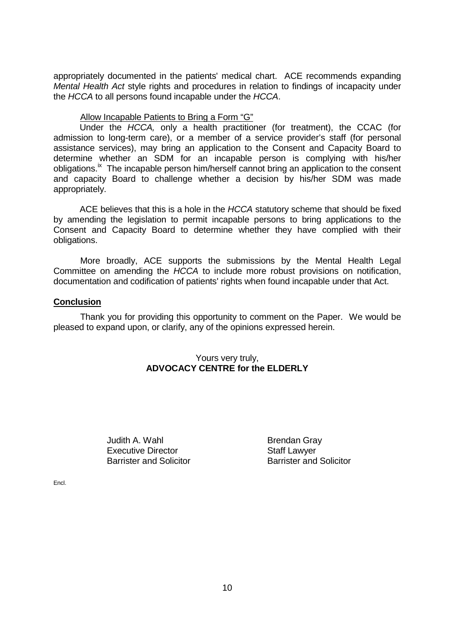appropriately documented in the patients' medical chart. ACE recommends expanding Mental Health Act style rights and procedures in relation to findings of incapacity under the HCCA to all persons found incapable under the HCCA.

# Allow Incapable Patients to Bring a Form "G"

Under the HCCA, only a health practitioner (for treatment), the CCAC (for admission to long-term care), or a member of a service provider's staff (for personal assistance services), may bring an application to the Consent and Capacity Board to determine whether an SDM for an incapable person is complying with his/her obligations.<sup>ix</sup> The incapable person him/herself cannot bring an application to the consent and capacity Board to challenge whether a decision by his/her SDM was made appropriately.

ACE believes that this is a hole in the HCCA statutory scheme that should be fixed by amending the legislation to permit incapable persons to bring applications to the Consent and Capacity Board to determine whether they have complied with their obligations.

 More broadly, ACE supports the submissions by the Mental Health Legal Committee on amending the HCCA to include more robust provisions on notification, documentation and codification of patients' rights when found incapable under that Act.

# **Conclusion**

 Thank you for providing this opportunity to comment on the Paper. We would be pleased to expand upon, or clarify, any of the opinions expressed herein.

# Yours very truly, **ADVOCACY CENTRE for the ELDERLY**

Judith A. Wahl **Brendan Gray** Executive Director **Staff Lawyer** Barrister and Solicitor **Barrister and Solicitor** 

Encl.